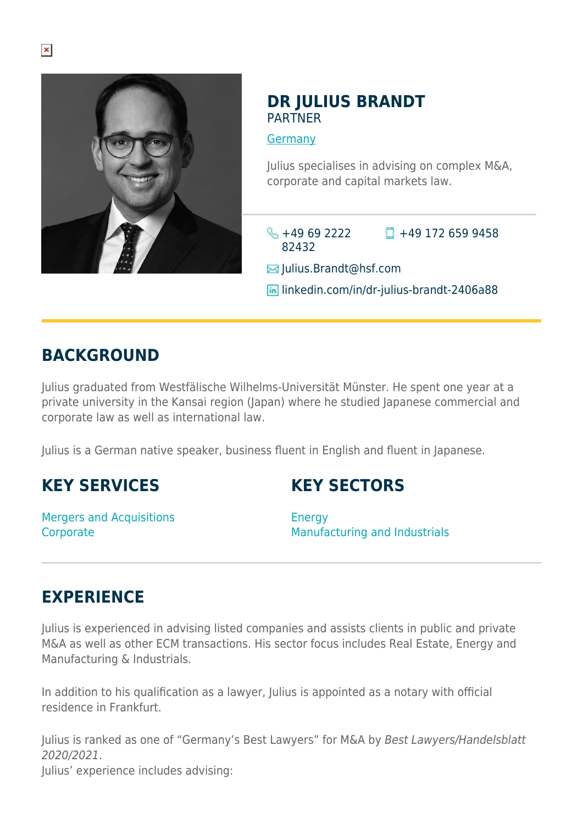

## **DR JULIUS BRANDT PARTNER**

[Germany](https://www.herbertsmithfreehills.com/where-we-work/germany)

Julius specialises in advising on complex M&A, corporate and capital markets law.

 $\leftarrow +49692222$ 82432  $\Box$  +49 172 659 9458

 $\boxtimes$  Julius.Brandt@hsf.com

**in** linkedin.com/in/dr-julius-brandt-2406a88

# **BACKGROUND**

Julius graduated from Westfälische Wilhelms-Universität Münster. He spent one year at a private university in the Kansai region (Japan) where he studied Japanese commercial and corporate law as well as international law.

Julius is a German native speaker, business fluent in English and fluent in Japanese.

# **KEY SERVICES**

Mergers and Acquisitions **Corporate** 

# **KEY SECTORS**

**Energy** Manufacturing and Industrials

# **EXPERIENCE**

Julius is experienced in advising listed companies and assists clients in public and private M&A as well as other ECM transactions. His sector focus includes Real Estate, Energy and Manufacturing & Industrials.

In addition to his qualification as a lawyer, Julius is appointed as a notary with official residence in Frankfurt.

Julius is ranked as one of "Germany's Best Lawyers" for M&A by Best Lawyers/Handelsblatt 2020/2021.

Julius' experience includes advising: